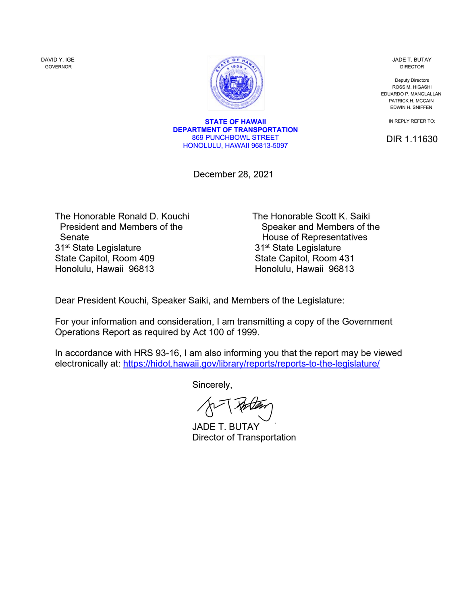DAVID Y. IGE GOVERNOR



JADE T. BUTAY DIRECTOR

Deputy Directors ROSS M. HIGASHI EDUARDO P. MANGLALLAN PATRICK H. MCCAIN EDWIN H. SNIFFEN

IN REPLY REFER TO:

DIR 1.11630

**STATE OF HAWAII DEPARTMENT OF TRANSPORTATION** 869 PUNCHBOWL STREET HONOLULU, HAWAII 96813-5097

December 28, 2021

The Honorable Ronald D. Kouchi The Honorable Scott K. Saiki<br>President and Members of the Speaker and Members of the Senate **Senate House of Representatives** 31<sup>st</sup> State Legislature 31<sup>st</sup> State Legislature State Capitol, Room 409 State Capitol, Room 431 Honolulu, Hawaii 96813 **Honolulu, Hawaii 96813** 

Speaker and Members of the

Dear President Kouchi, Speaker Saiki, and Members of the Legislature:

For your information and consideration, I am transmitting a copy of the Government Operations Report as required by Act 100 of 1999.

In accordance with HRS 93-16, I am also informing you that the report may be viewed electronically at:<https://hidot.hawaii.gov/library/reports/reports-to-the-legislature/>

Sincerely,

[JADE T. BUTAY](https://stateofhawaii.na1.adobesign.com/verifier?tx=CBJCHBCAABAA62wlhUwP5qxCaqt3BBkqscuXqD5oWaOd) Director of Transportation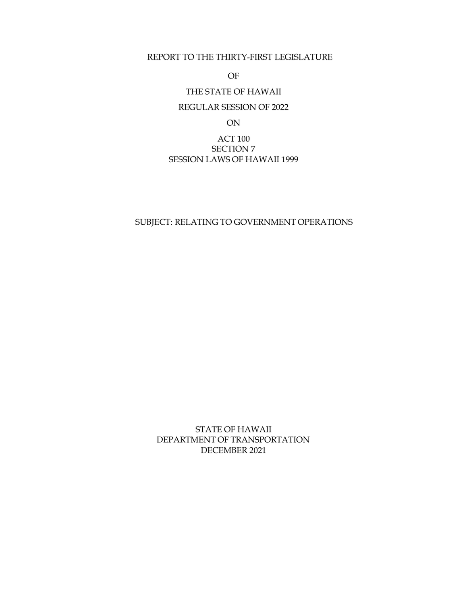## REPORT TO THE THIRTY-FIRST LEGISLATURE

OF

# THE STATE OF HAWAII

## REGULAR SESSION OF 2022

ON

# ACT 100 SECTION 7 SESSION LAWS OF HAWAII 1999

## SUBJECT: RELATING TO GOVERNMENT OPERATIONS

STATE OF HAWAII DEPARTMENT OF TRANSPORTATION DECEMBER 2021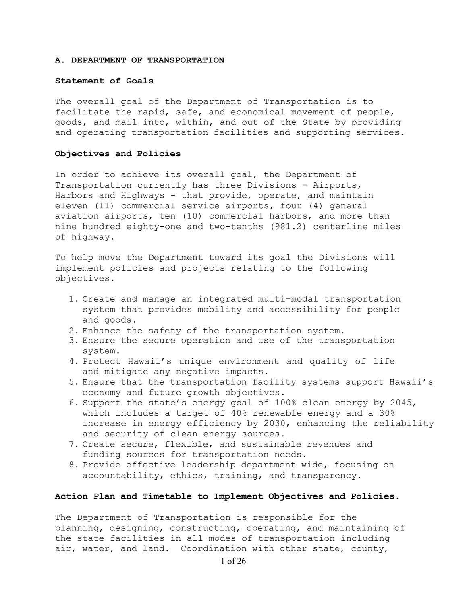#### **A. DEPARTMENT OF TRANSPORTATION**

#### **Statement of Goals**

The overall goal of the Department of Transportation is to facilitate the rapid, safe, and economical movement of people, goods, and mail into, within, and out of the State by providing and operating transportation facilities and supporting services.

#### **Objectives and Policies**

In order to achieve its overall goal, the Department of Transportation currently has three Divisions - Airports, Harbors and Highways - that provide, operate, and maintain eleven (11) commercial service airports, four (4) general aviation airports, ten (10) commercial harbors, and more than nine hundred eighty-one and two-tenths (981.2) centerline miles of highway.

To help move the Department toward its goal the Divisions will implement policies and projects relating to the following objectives.

- 1. Create and manage an integrated multi-modal transportation system that provides mobility and accessibility for people and goods.
- 2. Enhance the safety of the transportation system.
- 3. Ensure the secure operation and use of the transportation system.
- 4. Protect Hawaii's unique environment and quality of life and mitigate any negative impacts.
- 5. Ensure that the transportation facility systems support Hawaii's economy and future growth objectives.
- 6. Support the state's energy goal of 100% clean energy by 2045, which includes a target of 40% renewable energy and a 30% increase in energy efficiency by 2030, enhancing the reliability and security of clean energy sources.
- 7. Create secure, flexible, and sustainable revenues and funding sources for transportation needs.
- 8. Provide effective leadership department wide, focusing on accountability, ethics, training, and transparency.

## **Action Plan and Timetable to Implement Objectives and Policies.**

The Department of Transportation is responsible for the planning, designing, constructing, operating, and maintaining of the state facilities in all modes of transportation including air, water, and land. Coordination with other state, county,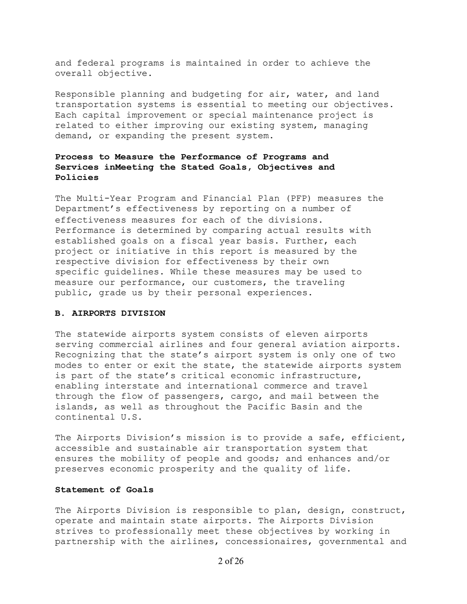and federal programs is maintained in order to achieve the overall objective.

Responsible planning and budgeting for air, water, and land transportation systems is essential to meeting our objectives. Each capital improvement or special maintenance project is related to either improving our existing system, managing demand, or expanding the present system.

# **Process to Measure the Performance of Programs and Services in Meeting the Stated Goals, Objectives and Policies**

The Multi-Year Program and Financial Plan (PFP) measures the Department's effectiveness by reporting on a number of effectiveness measures for each of the divisions. Performance is determined by comparing actual results with established goals on a fiscal year basis. Further, each project or initiative in this report is measured by the respective division for effectiveness by their own specific guidelines. While these measures may be used to measure our performance, our customers, the traveling public, grade us by their personal experiences.

#### **B. AIRPORTS DIVISION**

The statewide airports system consists of eleven airports serving commercial airlines and four general aviation airports. Recognizing that the state's airport system is only one of two modes to enter or exit the state, the statewide airports system is part of the state's critical economic infrastructure, enabling interstate and international commerce and travel through the flow of passengers, cargo, and mail between the islands, as well as throughout the Pacific Basin and the continental U.S.

The Airports Division's mission is to provide a safe, efficient, accessible and sustainable air transportation system that ensures the mobility of people and goods; and enhances and/or preserves economic prosperity and the quality of life.

#### **Statement of Goals**

The Airports Division is responsible to plan, design, construct, operate and maintain state airports. The Airports Division strives to professionally meet these objectives by working in partnership with the airlines, concessionaires, governmental and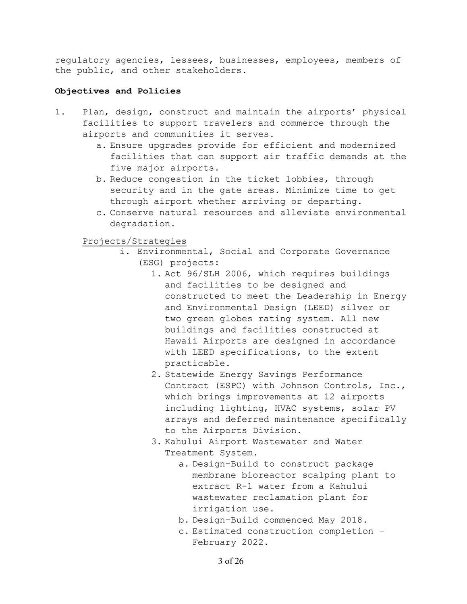regulatory agencies, lessees, businesses, employees, members of the public, and other stakeholders.

## **Objectives and Policies**

- 1. Plan, design, construct and maintain the airports' physical facilities to support travelers and commerce through the airports and communities it serves.
	- a. Ensure upgrades provide for efficient and modernized facilities that can support air traffic demands at the five major airports.
	- b. Reduce congestion in the ticket lobbies, through security and in the gate areas. Minimize time to get through airport whether arriving or departing.
	- c. Conserve natural resources and alleviate environmental degradation.

Projects/Strategies

- i. Environmental, Social and Corporate Governance (ESG) projects:
	- 1. Act 96/SLH 2006, which requires buildings and facilities to be designed and constructed to meet the Leadership in Energy and Environmental Design (LEED) silver or two green globes rating system. All new buildings and facilities constructed at Hawaii Airports are designed in accordance with LEED specifications, to the extent practicable.
	- 2. Statewide Energy Savings Performance Contract (ESPC) with Johnson Controls, Inc., which brings improvements at 12 airports including lighting, HVAC systems, solar PV arrays and deferred maintenance specifically to the Airports Division.
	- 3. Kahului Airport Wastewater and Water Treatment System.
		- a. Design-Build to construct package membrane bioreactor scalping plant to extract R-1 water from a Kahului wastewater reclamation plant for irrigation use.
		- b. Design-Build commenced May 2018.
		- c. Estimated construction completion February 2022.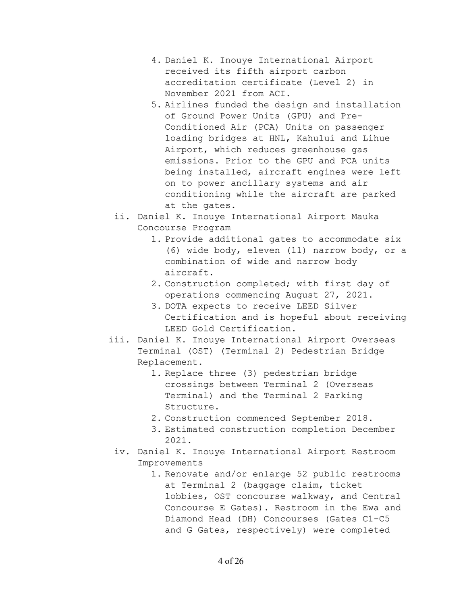- 4. Daniel K. Inouye International Airport received its fifth airport carbon accreditation certificate (Level 2) in November 2021 from ACI.
- 5. Airlines funded the design and installation of Ground Power Units (GPU) and Pre-Conditioned Air (PCA) Units on passenger loading bridges at HNL, Kahului and Lihue Airport, which reduces greenhouse gas emissions. Prior to the GPU and PCA units being installed, aircraft engines were left on to power ancillary systems and air conditioning while the aircraft are parked at the gates.
- ii. Daniel K. Inouye International Airport Mauka Concourse Program
	- 1. Provide additional gates to accommodate six (6) wide body, eleven (11) narrow body, or a combination of wide and narrow body aircraft.
	- 2. Construction completed; with first day of operations commencing August 27, 2021.
	- 3. DOTA expects to receive LEED Silver Certification and is hopeful about receiving LEED Gold Certification.
- iii. Daniel K. Inouye International Airport Overseas Terminal (OST) (Terminal 2) Pedestrian Bridge Replacement.
	- 1. Replace three (3) pedestrian bridge crossings between Terminal 2 (Overseas Terminal) and the Terminal 2 Parking Structure.
	- 2. Construction commenced September 2018.
	- 3. Estimated construction completion December 2021.
- iv. Daniel K. Inouye International Airport Restroom Improvements
	- 1. Renovate and/or enlarge 52 public restrooms at Terminal 2 (baggage claim, ticket lobbies, OST concourse walkway, and Central Concourse E Gates). Restroom in the Ewa and Diamond Head (DH) Concourses (Gates C1-C5 and G Gates, respectively) were completed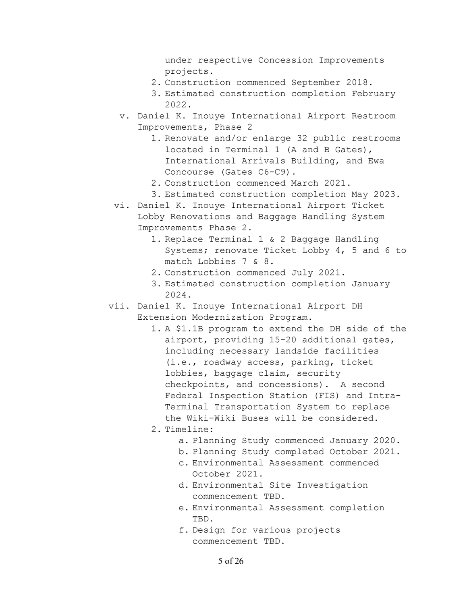under respective Concession Improvements projects.

- 2. Construction commenced September 2018.
- 3. Estimated construction completion February 2022.
- v. Daniel K. Inouye International Airport Restroom Improvements, Phase 2
	- 1. Renovate and/or enlarge 32 public restrooms located in Terminal 1 (A and B Gates), International Arrivals Building, and Ewa Concourse (Gates C6-C9).
	- 2. Construction commenced March 2021.
	- 3. Estimated construction completion May 2023.
- vi. Daniel K. Inouye International Airport Ticket Lobby Renovations and Baggage Handling System Improvements Phase 2.
	- 1. Replace Terminal 1 & 2 Baggage Handling Systems; renovate Ticket Lobby 4, 5 and 6 to match Lobbies 7 & 8.
	- 2. Construction commenced July 2021.
	- 3. Estimated construction completion January 2024.
- vii. Daniel K. Inouye International Airport DH Extension Modernization Program.
	- 1. A \$1.1B program to extend the DH side of the airport, providing 15-20 additional gates, including necessary landside facilities (i.e., roadway access, parking, ticket lobbies, baggage claim, security checkpoints, and concessions). A second Federal Inspection Station (FIS) and Intra-Terminal Transportation System to replace the Wiki-Wiki Buses will be considered.
	- 2. Timeline:
		- a. Planning Study commenced January 2020.
		- b. Planning Study completed October 2021.
		- c. Environmental Assessment commenced October 2021.
		- d. Environmental Site Investigation commencement TBD.
		- e. Environmental Assessment completion TBD.
		- f. Design for various projects commencement TBD.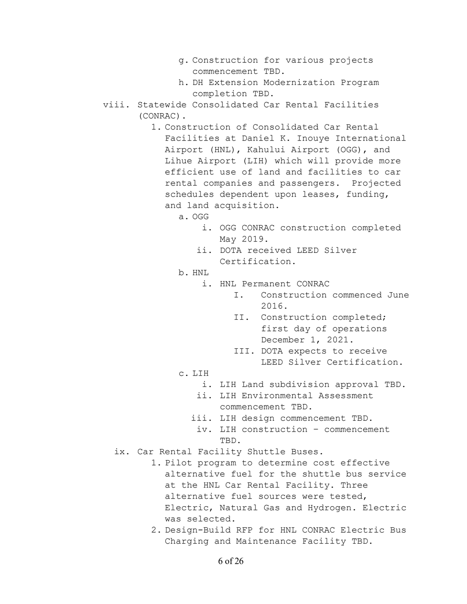- g. Construction for various projects commencement TBD.
- h. DH Extension Modernization Program completion TBD.
- viii. Statewide Consolidated Car Rental Facilities (CONRAC).
	- 1. Construction of Consolidated Car Rental Facilities at Daniel K. Inouye International Airport (HNL), Kahului Airport (OGG), and Lihue Airport (LIH) which will provide more efficient use of land and facilities to car rental companies and passengers. Projected schedules dependent upon leases, funding, and land acquisition.
		- a. OGG
			- i. OGG CONRAC construction completed May 2019.
			- ii. DOTA received LEED Silver Certification.
		- b. HNL
			- i. HNL Permanent CONRAC
				- I. Construction commenced June 2016.
				- II. Construction completed; first day of operations December 1, 2021.
				- III. DOTA expects to receive LEED Silver Certification.
		- c. LIH
			- i. LIH Land subdivision approval TBD.
			- ii. LIH Environmental Assessment commencement TBD.
			- iii. LIH design commencement TBD.
			- iv. LIH construction commencement TBD.
	- ix. Car Rental Facility Shuttle Buses.
		- 1. Pilot program to determine cost effective alternative fuel for the shuttle bus service at the HNL Car Rental Facility. Three alternative fuel sources were tested, Electric, Natural Gas and Hydrogen. Electric was selected.
		- 2. Design-Build RFP for HNL CONRAC Electric Bus Charging and Maintenance Facility TBD.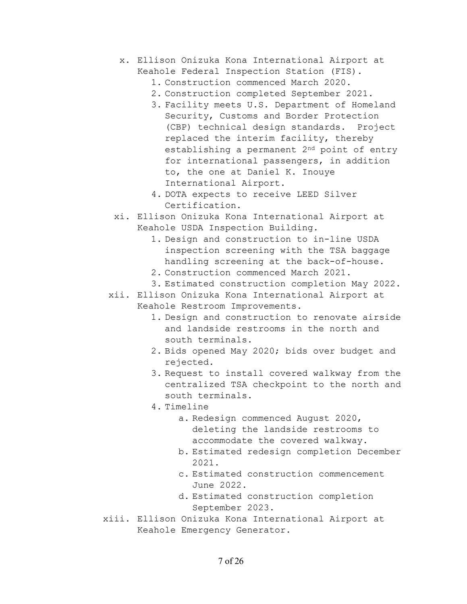- x. Ellison Onizuka Kona International Airport at Keahole Federal Inspection Station (FIS).
	- 1. Construction commenced March 2020.
	- 2. Construction completed September 2021.
	- 3. Facility meets U.S. Department of Homeland Security, Customs and Border Protection (CBP) technical design standards. Project replaced the interim facility, thereby establishing a permanent 2nd point of entry for international passengers, in addition to, the one at Daniel K. Inouye International Airport.
	- 4. DOTA expects to receive LEED Silver Certification.
- xi. Ellison Onizuka Kona International Airport at Keahole USDA Inspection Building.
	- 1. Design and construction to in-line USDA inspection screening with the TSA baggage handling screening at the back-of-house.
	- 2. Construction commenced March 2021.
	- 3. Estimated construction completion May 2022.
- xii. Ellison Onizuka Kona International Airport at Keahole Restroom Improvements.
	- 1. Design and construction to renovate airside and landside restrooms in the north and south terminals.
	- 2. Bids opened May 2020; bids over budget and rejected.
	- 3. Request to install covered walkway from the centralized TSA checkpoint to the north and south terminals.
	- 4. Timeline
		- a. Redesign commenced August 2020, deleting the landside restrooms to accommodate the covered walkway.
		- b. Estimated redesign completion December 2021.
		- c. Estimated construction commencement June 2022.
		- d. Estimated construction completion September 2023.
- xiii. Ellison Onizuka Kona International Airport at Keahole Emergency Generator.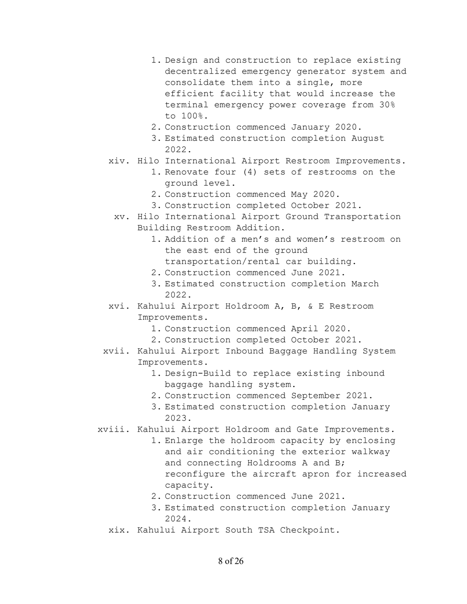- 1. Design and construction to replace existing decentralized emergency generator system and consolidate them into a single, more efficient facility that would increase the terminal emergency power coverage from 30% to 100%.
- 2. Construction commenced January 2020.
- 3. Estimated construction completion August 2022.
- xiv. Hilo International Airport Restroom Improvements.
	- 1. Renovate four (4) sets of restrooms on the ground level.
	- 2. Construction commenced May 2020.
	- 3. Construction completed October 2021.
	- xv. Hilo International Airport Ground Transportation Building Restroom Addition.
		- 1. Addition of a men's and women's restroom on the east end of the ground transportation/rental car building.
		- 2. Construction commenced June 2021.
		- 3. Estimated construction completion March 2022.
- xvi. Kahului Airport Holdroom A, B, & E Restroom Improvements.
	- 1. Construction commenced April 2020.
	- 2. Construction completed October 2021.
- xvii. Kahului Airport Inbound Baggage Handling System Improvements.
	- 1. Design-Build to replace existing inbound baggage handling system.
	- 2. Construction commenced September 2021.
	- 3. Estimated construction completion January 2023.
- xviii. Kahului Airport Holdroom and Gate Improvements.
	- 1. Enlarge the holdroom capacity by enclosing and air conditioning the exterior walkway and connecting Holdrooms A and B; reconfigure the aircraft apron for increased capacity.
	- 2. Construction commenced June 2021.
	- 3. Estimated construction completion January 2024.
	- xix. Kahului Airport South TSA Checkpoint.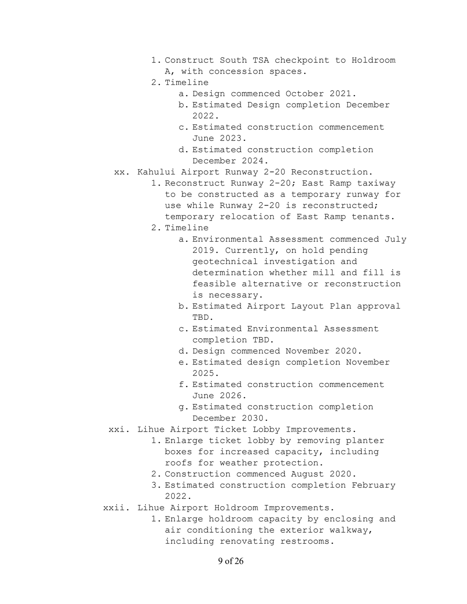- 1. Construct South TSA checkpoint to Holdroom A, with concession spaces.
- 2. Timeline
	- a. Design commenced October 2021.
	- b. Estimated Design completion December 2022.
	- c. Estimated construction commencement June 2023.
	- d. Estimated construction completion December 2024.
- xx. Kahului Airport Runway 2-20 Reconstruction.
	- 1. Reconstruct Runway 2-20; East Ramp taxiway to be constructed as a temporary runway for use while Runway 2-20 is reconstructed; temporary relocation of East Ramp tenants.
	- 2. Timeline
		- a. Environmental Assessment commenced July 2019. Currently, on hold pending geotechnical investigation and determination whether mill and fill is feasible alternative or reconstruction is necessary.
		- b. Estimated Airport Layout Plan approval TBD.
		- c. Estimated Environmental Assessment completion TBD.
		- d. Design commenced November 2020.
		- e. Estimated design completion November 2025.
		- f. Estimated construction commencement June 2026.
		- g. Estimated construction completion December 2030.
- xxi. Lihue Airport Ticket Lobby Improvements.
	- 1. Enlarge ticket lobby by removing planter boxes for increased capacity, including roofs for weather protection.
	- 2. Construction commenced August 2020.
	- 3. Estimated construction completion February 2022.
- xxii. Lihue Airport Holdroom Improvements.
	- 1. Enlarge holdroom capacity by enclosing and air conditioning the exterior walkway, including renovating restrooms.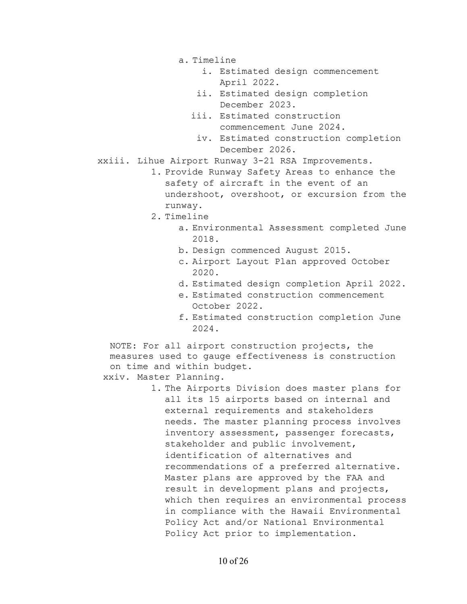- a. Timeline
	- i. Estimated design commencement April 2022.
	- ii. Estimated design completion December 2023.
	- iii. Estimated construction commencement June 2024.
		- iv. Estimated construction completion December 2026.

xxiii. Lihue Airport Runway 3-21 RSA Improvements.

- 1. Provide Runway Safety Areas to enhance the safety of aircraft in the event of an undershoot, overshoot, or excursion from the runway.
- 2. Timeline
	- a. Environmental Assessment completed June 2018.
	- b. Design commenced August 2015.
	- c. Airport Layout Plan approved October 2020.
	- d. Estimated design completion April 2022.
	- e. Estimated construction commencement October 2022.
	- f. Estimated construction completion June 2024.

NOTE: For all airport construction projects, the measures used to gauge effectiveness is construction on time and within budget.

xxiv. Master Planning.

1. The Airports Division does master plans for all its 15 airports based on internal and external requirements and stakeholders needs. The master planning process involves inventory assessment, passenger forecasts, stakeholder and public involvement, identification of alternatives and recommendations of a preferred alternative. Master plans are approved by the FAA and result in development plans and projects, which then requires an environmental process in compliance with the Hawaii Environmental Policy Act and/or National Environmental Policy Act prior to implementation.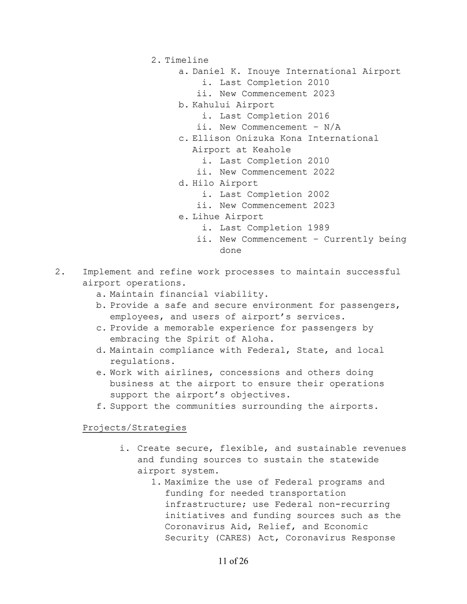- 2. Timeline
	- a. Daniel K. Inouye International Airport
		- i. Last Completion 2010
		- ii. New Commencement 2023
	- b. Kahului Airport
		- i. Last Completion 2016
		- ii. New Commencement N/A
	- c. Ellison Onizuka Kona International
		- Airport at Keahole
			- i. Last Completion 2010
			- ii. New Commencement 2022
	- d. Hilo Airport
		- i. Last Completion 2002
		- ii. New Commencement 2023
	- e. Lihue Airport
		- i. Last Completion 1989
		- ii. New Commencement Currently being done
- 2. Implement and refine work processes to maintain successful airport operations.
	- a. Maintain financial viability.
	- b. Provide a safe and secure environment for passengers, employees, and users of airport's services.
	- c. Provide a memorable experience for passengers by embracing the Spirit of Aloha.
	- d. Maintain compliance with Federal, State, and local regulations.
	- e. Work with airlines, concessions and others doing business at the airport to ensure their operations support the airport's objectives.
	- f. Support the communities surrounding the airports.

Projects/Strategies

- i. Create secure, flexible, and sustainable revenues and funding sources to sustain the statewide airport system.
	- 1. Maximize the use of Federal programs and funding for needed transportation infrastructure; use Federal non-recurring initiatives and funding sources such as the Coronavirus Aid, Relief, and Economic Security (CARES) Act, Coronavirus Response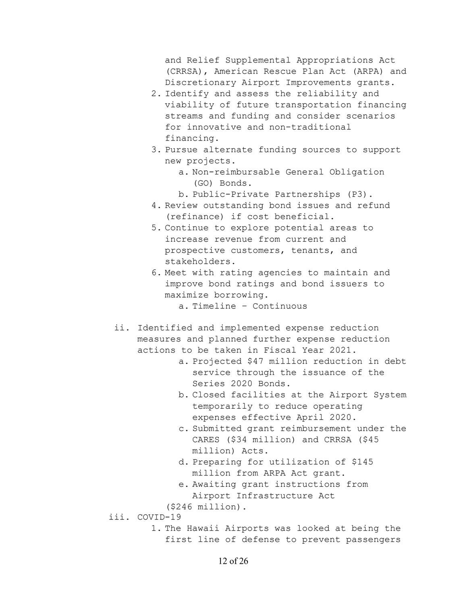and Relief Supplemental Appropriations Act (CRRSA), American Rescue Plan Act (ARPA) and Discretionary Airport Improvements grants.

- 2. Identify and assess the reliability and viability of future transportation financing streams and funding and consider scenarios for innovative and non-traditional financing.
- 3. Pursue alternate funding sources to support new projects.
	- a. Non-reimbursable General Obligation (GO) Bonds.
	- b. Public-Private Partnerships (P3).
- 4. Review outstanding bond issues and refund (refinance) if cost beneficial.
- 5. Continue to explore potential areas to increase revenue from current and prospective customers, tenants, and stakeholders.
- 6. Meet with rating agencies to maintain and improve bond ratings and bond issuers to maximize borrowing.
	- a. Timeline Continuous
- ii. Identified and implemented expense reduction measures and planned further expense reduction actions to be taken in Fiscal Year 2021.
	- a. Projected \$47 million reduction in debt service through the issuance of the Series 2020 Bonds.
	- b. Closed facilities at the Airport System temporarily to reduce operating expenses effective April 2020.
	- c. Submitted grant reimbursement under the CARES (\$34 million) and CRRSA (\$45 million) Acts.
	- d. Preparing for utilization of \$145 million from ARPA Act grant.
	- e. Awaiting grant instructions from Airport Infrastructure Act
	- (\$246 million).
- iii. COVID-19
	- 1. The Hawaii Airports was looked at being the first line of defense to prevent passengers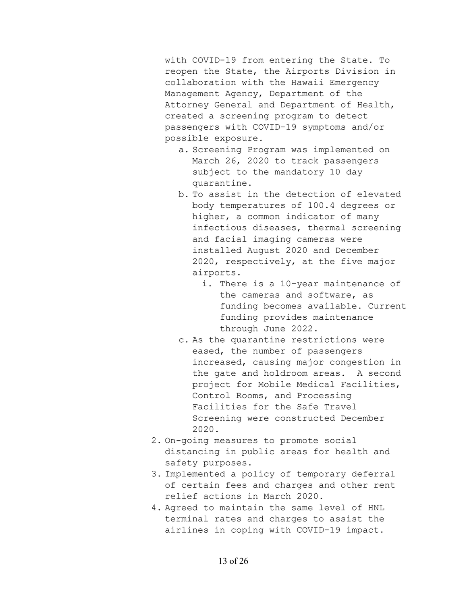with COVID-19 from entering the State. To reopen the State, the Airports Division in collaboration with the Hawaii Emergency Management Agency, Department of the Attorney General and Department of Health, created a screening program to detect passengers with COVID-19 symptoms and/or possible exposure.

- a. Screening Program was implemented on March 26, 2020 to track passengers subject to the mandatory 10 day quarantine.
- b. To assist in the detection of elevated body temperatures of 100.4 degrees or higher, a common indicator of many infectious diseases, thermal screening and facial imaging cameras were installed August 2020 and December 2020, respectively, at the five major airports.
	- i. There is a 10-year maintenance of the cameras and software, as funding becomes available. Current funding provides maintenance through June 2022.
- c. As the quarantine restrictions were eased, the number of passengers increased, causing major congestion in the gate and holdroom areas. A second project for Mobile Medical Facilities, Control Rooms, and Processing Facilities for the Safe Travel Screening were constructed December 2020.
- 2. On-going measures to promote social distancing in public areas for health and safety purposes.
- 3. Implemented a policy of temporary deferral of certain fees and charges and other rent relief actions in March 2020.
- 4. Agreed to maintain the same level of HNL terminal rates and charges to assist the airlines in coping with COVID-19 impact.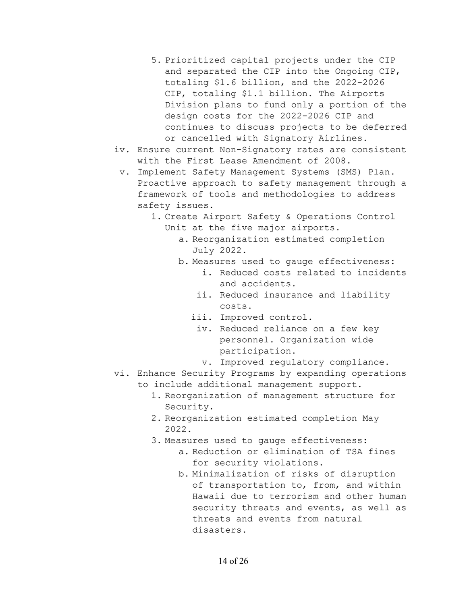- 5. Prioritized capital projects under the CIP and separated the CIP into the Ongoing CIP, totaling \$1.6 billion, and the 2022-2026 CIP, totaling \$1.1 billion. The Airports Division plans to fund only a portion of the design costs for the 2022-2026 CIP and continues to discuss projects to be deferred or cancelled with Signatory Airlines.
- iv. Ensure current Non-Signatory rates are consistent with the First Lease Amendment of 2008.
	- v. Implement Safety Management Systems (SMS) Plan. Proactive approach to safety management through a framework of tools and methodologies to address safety issues.
		- 1. Create Airport Safety & Operations Control Unit at the five major airports.
			- a. Reorganization estimated completion July 2022.
			- b. Measures used to gauge effectiveness:
				- i. Reduced costs related to incidents and accidents.
				- ii. Reduced insurance and liability costs.
				- iii. Improved control.
					- iv. Reduced reliance on a few key personnel. Organization wide participation.
					- v. Improved regulatory compliance.
- vi. Enhance Security Programs by expanding operations
	- to include additional management support.
		- 1. Reorganization of management structure for Security.
		- 2. Reorganization estimated completion May 2022.
		- 3. Measures used to gauge effectiveness:
			- a. Reduction or elimination of TSA fines for security violations.
			- b. Minimalization of risks of disruption of transportation to, from, and within Hawaii due to terrorism and other human security threats and events, as well as threats and events from natural disasters.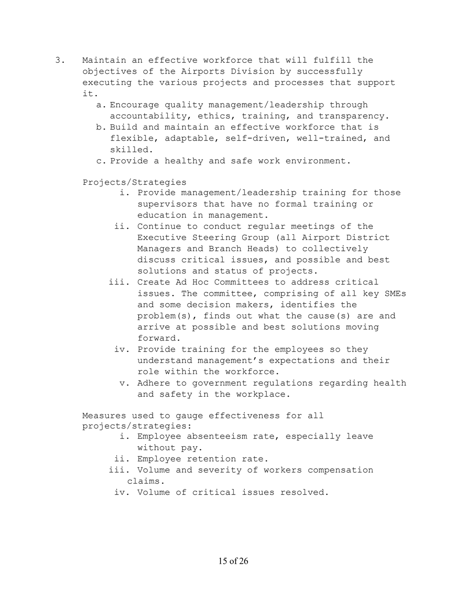- 3. Maintain an effective workforce that will fulfill the objectives of the Airports Division by successfully executing the various projects and processes that support it.
	- a. Encourage quality management/leadership through accountability, ethics, training, and transparency.
	- b. Build and maintain an effective workforce that is flexible, adaptable, self-driven, well-trained, and skilled.
	- c. Provide a healthy and safe work environment.

Projects/Strategies

- i. Provide management/leadership training for those supervisors that have no formal training or education in management.
- ii. Continue to conduct regular meetings of the Executive Steering Group (all Airport District Managers and Branch Heads) to collectively discuss critical issues, and possible and best solutions and status of projects.
- iii. Create Ad Hoc Committees to address critical issues. The committee, comprising of all key SMEs and some decision makers, identifies the problem(s), finds out what the cause(s) are and arrive at possible and best solutions moving forward.
- iv. Provide training for the employees so they understand management's expectations and their role within the workforce.
	- v. Adhere to government regulations regarding health and safety in the workplace.

Measures used to gauge effectiveness for all projects/strategies:

- i. Employee absenteeism rate, especially leave without pay.
- ii. Employee retention rate.
- iii. Volume and severity of workers compensation claims.
	- iv. Volume of critical issues resolved.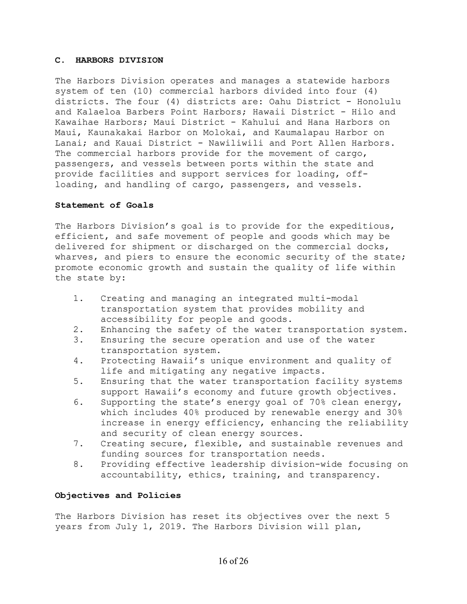#### **C. HARBORS DIVISION**

The Harbors Division operates and manages a statewide harbors system of ten (10) commercial harbors divided into four (4) districts. The four (4) districts are: Oahu District - Honolulu and Kalaeloa Barbers Point Harbors; Hawaii District - Hilo and Kawaihae Harbors; Maui District - Kahului and Hana Harbors on Maui, Kaunakakai Harbor on Molokai, and Kaumalapau Harbor on Lanai; and Kauai District - Nawiliwili and Port Allen Harbors. The commercial harbors provide for the movement of cargo, passengers, and vessels between ports within the state and provide facilities and support services for loading, offloading, and handling of cargo, passengers, and vessels.

#### **Statement of Goals**

The Harbors Division's goal is to provide for the expeditious, efficient, and safe movement of people and goods which may be delivered for shipment or discharged on the commercial docks, wharves, and piers to ensure the economic security of the state; promote economic growth and sustain the quality of life within the state by:

- 1. Creating and managing an integrated multi-modal transportation system that provides mobility and accessibility for people and goods.
- 2. Enhancing the safety of the water transportation system.
- 3. Ensuring the secure operation and use of the water transportation system.
- 4. Protecting Hawaii's unique environment and quality of life and mitigating any negative impacts.
- 5. Ensuring that the water transportation facility systems support Hawaii's economy and future growth objectives.
- 6. Supporting the state's energy goal of 70% clean energy, which includes 40% produced by renewable energy and 30% increase in energy efficiency, enhancing the reliability and security of clean energy sources.
- 7. Creating secure, flexible, and sustainable revenues and funding sources for transportation needs.
- 8. Providing effective leadership division-wide focusing on accountability, ethics, training, and transparency.

# **Objectives and Policies**

The Harbors Division has reset its objectives over the next 5 years from July 1, 2019. The Harbors Division will plan,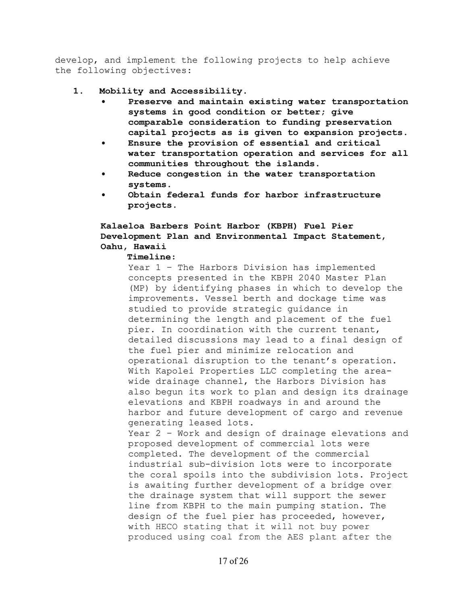develop, and implement the following projects to help achieve the following objectives:

- **1. Mobility and Accessibility.** 
	- **Preserve and maintain existing water transportation systems in good condition or better; give comparable consideration to funding preservation capital projects as is given to expansion projects.**
	- **Ensure the provision of essential and critical water transportation operation and services for all communities throughout the islands.**
	- **Reduce congestion in the water transportation systems.**
	- **Obtain federal funds for harbor infrastructure projects.**

# **Kalaeloa Barbers Point Harbor (KBPH) Fuel Pier Development Plan and Environmental Impact Statement, Oahu, Hawaii**

## **Timeline:**

Year 1 – The Harbors Division has implemented concepts presented in the KBPH 2040 Master Plan (MP) by identifying phases in which to develop the improvements. Vessel berth and dockage time was studied to provide strategic guidance in determining the length and placement of the fuel pier. In coordination with the current tenant, detailed discussions may lead to a final design of the fuel pier and minimize relocation and operational disruption to the tenant's operation. With Kapolei Properties LLC completing the areawide drainage channel, the Harbors Division has also begun its work to plan and design its drainage elevations and KBPH roadways in and around the harbor and future development of cargo and revenue generating leased lots. Year 2 – Work and design of drainage elevations and proposed development of commercial lots were completed. The development of the commercial industrial sub-division lots were to incorporate the coral spoils into the subdivision lots. Project is awaiting further development of a bridge over the drainage system that will support the sewer line from KBPH to the main pumping station. The design of the fuel pier has proceeded, however, with HECO stating that it will not buy power

produced using coal from the AES plant after the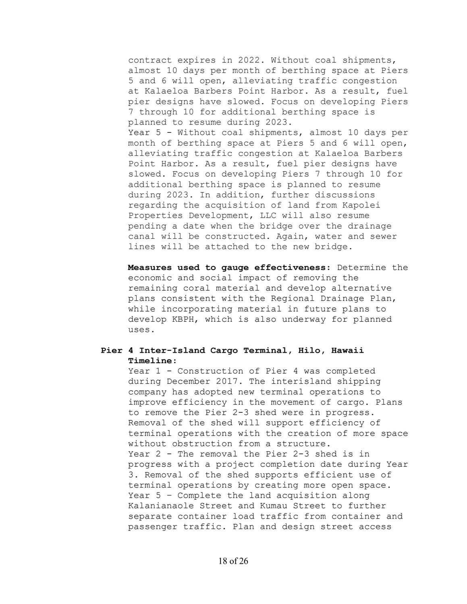contract expires in 2022. Without coal shipments, almost 10 days per month of berthing space at Piers 5 and 6 will open, alleviating traffic congestion at Kalaeloa Barbers Point Harbor. As a result, fuel pier designs have slowed. Focus on developing Piers 7 through 10 for additional berthing space is planned to resume during 2023.

Year 5 - Without coal shipments, almost 10 days per month of berthing space at Piers 5 and 6 will open, alleviating traffic congestion at Kalaeloa Barbers Point Harbor. As a result, fuel pier designs have slowed. Focus on developing Piers 7 through 10 for additional berthing space is planned to resume during 2023. In addition, further discussions regarding the acquisition of land from Kapolei Properties Development, LLC will also resume pending a date when the bridge over the drainage canal will be constructed. Again, water and sewer lines will be attached to the new bridge.

**Measures used to gauge effectiveness:** Determine the economic and social impact of removing the remaining coral material and develop alternative plans consistent with the Regional Drainage Plan, while incorporating material in future plans to develop KBPH, which is also underway for planned uses.

## **Pier 4 Inter-Island Cargo Terminal, Hilo, Hawaii Timeline:**

Year 1 - Construction of Pier 4 was completed during December 2017. The interisland shipping company has adopted new terminal operations to improve efficiency in the movement of cargo. Plans to remove the Pier 2-3 shed were in progress. Removal of the shed will support efficiency of terminal operations with the creation of more space without obstruction from a structure. Year 2 - The removal the Pier 2-3 shed is in progress with a project completion date during Year 3. Removal of the shed supports efficient use of terminal operations by creating more open space. Year 5 – Complete the land acquisition along Kalanianaole Street and Kumau Street to further separate container load traffic from container and passenger traffic. Plan and design street access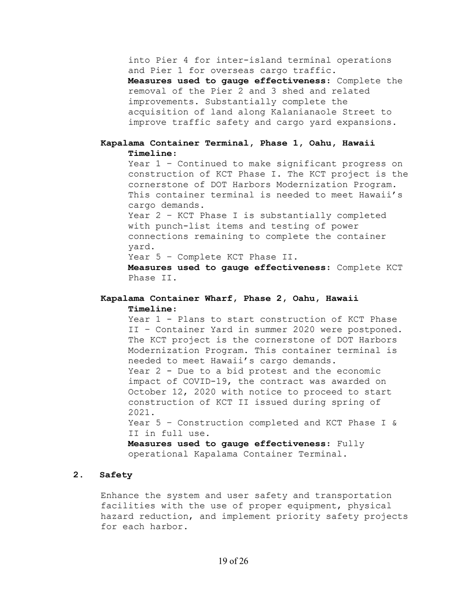into Pier 4 for inter-island terminal operations and Pier 1 for overseas cargo traffic.

**Measures used to gauge effectiveness:** Complete the removal of the Pier 2 and 3 shed and related improvements. Substantially complete the acquisition of land along Kalanianaole Street to improve traffic safety and cargo yard expansions.

## **Kapalama Container Terminal, Phase 1, Oahu, Hawaii Timeline:**

Year 1 – Continued to make significant progress on construction of KCT Phase I. The KCT project is the cornerstone of DOT Harbors Modernization Program. This container terminal is needed to meet Hawaii's cargo demands.

Year 2 – KCT Phase I is substantially completed with punch-list items and testing of power connections remaining to complete the container yard.

Year 5 - Complete KCT Phase II.

**Measures used to gauge effectiveness:** Complete KCT Phase II.

## **Kapalama Container Wharf, Phase 2, Oahu, Hawaii Timeline:**

Year 1 - Plans to start construction of KCT Phase II – Container Yard in summer 2020 were postponed. The KCT project is the cornerstone of DOT Harbors Modernization Program. This container terminal is needed to meet Hawaii's cargo demands. Year 2 - Due to a bid protest and the economic impact of COVID-19, the contract was awarded on October 12, 2020 with notice to proceed to start construction of KCT II issued during spring of 2021. Year 5 – Construction completed and KCT Phase I &

II in full use.

**Measures used to gauge effectiveness:** Fully operational Kapalama Container Terminal.

## **2. Safety**

Enhance the system and user safety and transportation facilities with the use of proper equipment, physical hazard reduction, and implement priority safety projects for each harbor.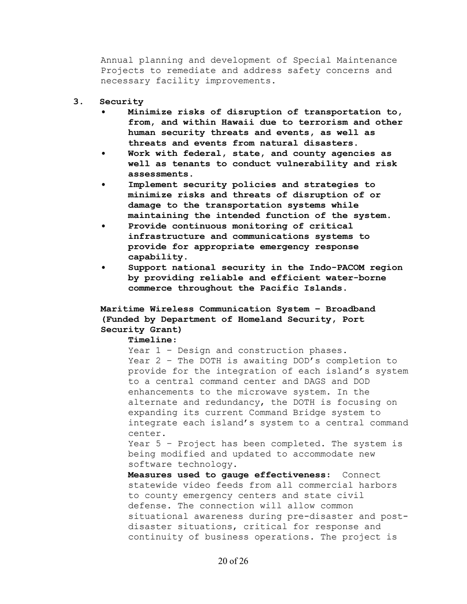Annual planning and development of Special Maintenance Projects to remediate and address safety concerns and necessary facility improvements.

#### **3. Security**

- **Minimize risks of disruption of transportation to, from, and within Hawaii due to terrorism and other human security threats and events, as well as threats and events from natural disasters.**
- **Work with federal, state, and county agencies as well as tenants to conduct vulnerability and risk assessments.**
- **Implement security policies and strategies to minimize risks and threats of disruption of or damage to the transportation systems while maintaining the intended function of the system.**
- **Provide continuous monitoring of critical infrastructure and communications systems to provide for appropriate emergency response capability.**
- **Support national security in the Indo-PACOM region by providing reliable and efficient water-borne commerce throughout the Pacific Islands.**

# **Maritime Wireless Communication System – Broadband (Funded by Department of Homeland Security, Port Security Grant)**

#### **Timeline:**

Year  $1$  - Design and construction phases. Year 2 - The DOTH is awaiting DOD's completion to provide for the integration of each island's system to a central command center and DAGS and DOD enhancements to the microwave system. In the alternate and redundancy, the DOTH is focusing on expanding its current Command Bridge system to integrate each island's system to a central command center.

Year 5 – Project has been completed. The system is being modified and updated to accommodate new software technology.

**Measures used to gauge effectiveness:** Connect statewide video feeds from all commercial harbors to county emergency centers and state civil defense. The connection will allow common situational awareness during pre-disaster and postdisaster situations, critical for response and continuity of business operations. The project is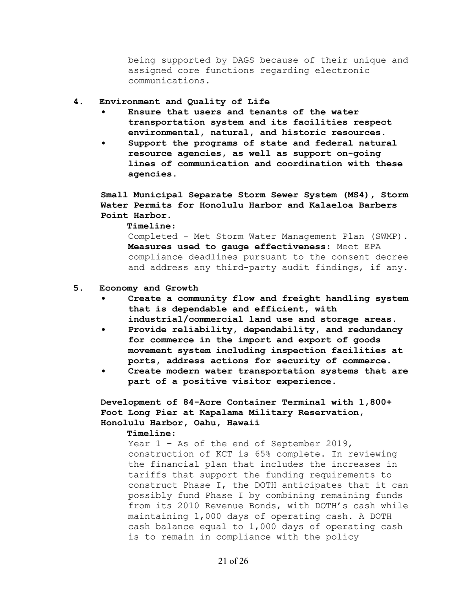being supported by DAGS because of their unique and assigned core functions regarding electronic communications.

## **4. Environment and Quality of Life**

- **Ensure that users and tenants of the water transportation system and its facilities respect environmental, natural, and historic resources.**
- **Support the programs of state and federal natural resource agencies, as well as support on-going lines of communication and coordination with these agencies.**

**Small Municipal Separate Storm Sewer System (MS4), Storm Water Permits for Honolulu Harbor and Kalaeloa Barbers Point Harbor.** 

**Timeline:** 

Completed - Met Storm Water Management Plan (SWMP). **Measures used to gauge effectiveness:** Meet EPA compliance deadlines pursuant to the consent decree and address any third-party audit findings, if any.

#### **5. Economy and Growth**

- **Create a community flow and freight handling system that is dependable and efficient, with industrial/commercial land use and storage areas.**
- **Provide reliability, dependability, and redundancy for commerce in the import and export of goods movement system including inspection facilities at ports, address actions for security of commerce.**
- **Create modern water transportation systems that are part of a positive visitor experience.**

**Development of 84-Acre Container Terminal with 1,800+ Foot Long Pier at Kapalama Military Reservation, Honolulu Harbor, Oahu, Hawaii** 

**Timeline:** 

Year  $1$  - As of the end of September 2019, construction of KCT is 65% complete. In reviewing the financial plan that includes the increases in tariffs that support the funding requirements to construct Phase I, the DOTH anticipates that it can possibly fund Phase I by combining remaining funds from its 2010 Revenue Bonds, with DOTH's cash while maintaining 1,000 days of operating cash. A DOTH cash balance equal to 1,000 days of operating cash is to remain in compliance with the policy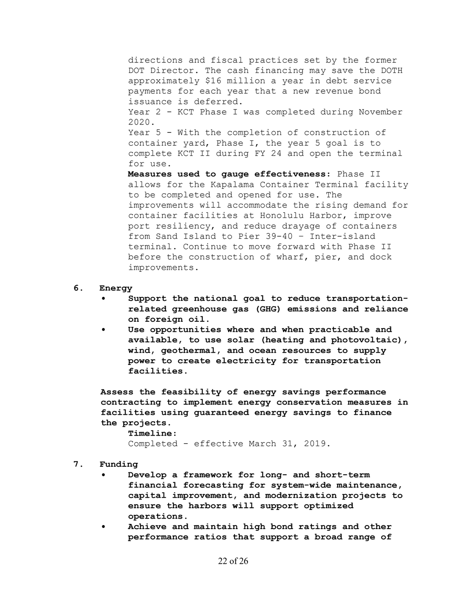directions and fiscal practices set by the former DOT Director. The cash financing may save the DOTH approximately \$16 million a year in debt service payments for each year that a new revenue bond issuance is deferred. Year 2 - KCT Phase I was completed during November 2020. Year 5 - With the completion of construction of container yard, Phase I, the year 5 goal is to complete KCT II during FY 24 and open the terminal for use. **Measures used to gauge effectiveness:** Phase II allows for the Kapalama Container Terminal facility to be completed and opened for use. The improvements will accommodate the rising demand for container facilities at Honolulu Harbor, improve port resiliency, and reduce drayage of containers from Sand Island to Pier 39-40 – Inter-island terminal. Continue to move forward with Phase II

before the construction of wharf, pier, and dock improvements.

- **6. Energy** 
	- **Support the national goal to reduce transportationrelated greenhouse gas (GHG) emissions and reliance on foreign oil.**
	- **Use opportunities where and when practicable and available, to use solar (heating and photovoltaic), wind, geothermal, and ocean resources to supply power to create electricity for transportation facilities.**

**Assess the feasibility of energy savings performance contracting to implement energy conservation measures in facilities using guaranteed energy savings to finance the projects.** 

**Timeline:** 

Completed - effective March 31, 2019.

**7. Funding** 

- **Develop a framework for long- and short-term financial forecasting for system-wide maintenance, capital improvement, and modernization projects to ensure the harbors will support optimized operations.**
- **Achieve and maintain high bond ratings and other performance ratios that support a broad range of**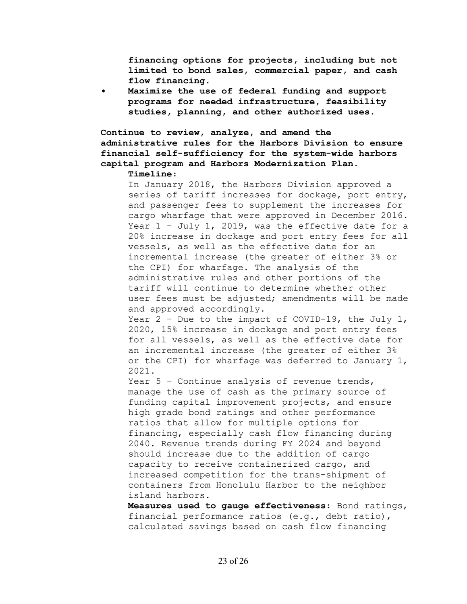**financing options for projects, including but not limited to bond sales, commercial paper, and cash flow financing.** 

**• Maximize the use of federal funding and support programs for needed infrastructure, feasibility studies, planning, and other authorized uses.** 

## **Continue to review, analyze, and amend the administrative rules for the Harbors Division to ensure financial self-sufficiency for the system-wide harbors capital program and Harbors Modernization Plan. Timeline:**

In January 2018, the Harbors Division approved a series of tariff increases for dockage, port entry, and passenger fees to supplement the increases for cargo wharfage that were approved in December 2016. Year 1 – July 1, 2019, was the effective date for a 20% increase in dockage and port entry fees for all vessels, as well as the effective date for an incremental increase (the greater of either 3% or the CPI) for wharfage. The analysis of the administrative rules and other portions of the tariff will continue to determine whether other user fees must be adjusted; amendments will be made and approved accordingly.

Year  $2$  - Due to the impact of COVID-19, the July 1, 2020, 15% increase in dockage and port entry fees for all vessels, as well as the effective date for an incremental increase (the greater of either 3% or the CPI) for wharfage was deferred to January 1, 2021.

Year 5 - Continue analysis of revenue trends, manage the use of cash as the primary source of funding capital improvement projects, and ensure high grade bond ratings and other performance ratios that allow for multiple options for financing, especially cash flow financing during 2040. Revenue trends during FY 2024 and beyond should increase due to the addition of cargo capacity to receive containerized cargo, and increased competition for the trans-shipment of containers from Honolulu Harbor to the neighbor island harbors.

**Measures used to gauge effectiveness:** Bond ratings, financial performance ratios (e.g., debt ratio), calculated savings based on cash flow financing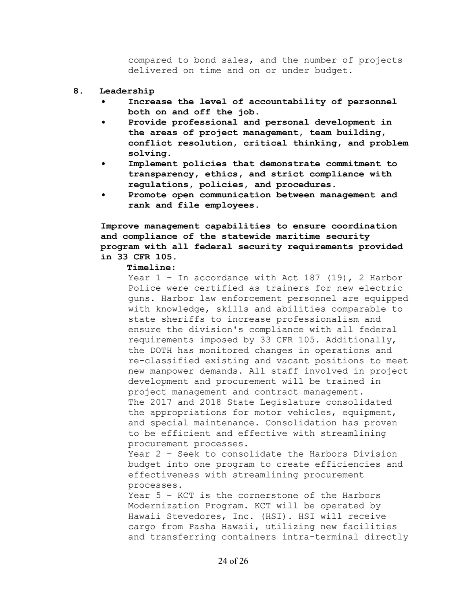compared to bond sales, and the number of projects delivered on time and on or under budget.

#### **8. Leadership**

- **Increase the level of accountability of personnel both on and off the job.**
- **Provide professional and personal development in the areas of project management, team building, conflict resolution, critical thinking, and problem solving.**
- **Implement policies that demonstrate commitment to transparency, ethics, and strict compliance with regulations, policies, and procedures.**
- **Promote open communication between management and rank and file employees.**

**Improve management capabilities to ensure coordination and compliance of the statewide maritime security program with all federal security requirements provided in 33 CFR 105.** 

#### **Timeline:**

Year  $1$  - In accordance with Act 187 (19), 2 Harbor Police were certified as trainers for new electric guns. Harbor law enforcement personnel are equipped with knowledge, skills and abilities comparable to state sheriffs to increase professionalism and ensure the division's compliance with all federal requirements imposed by 33 CFR 105. Additionally, the DOTH has monitored changes in operations and re-classified existing and vacant positions to meet new manpower demands. All staff involved in project development and procurement will be trained in project management and contract management. The 2017 and 2018 State Legislature consolidated the appropriations for motor vehicles, equipment, and special maintenance. Consolidation has proven to be efficient and effective with streamlining procurement processes.

Year 2 – Seek to consolidate the Harbors Division budget into one program to create efficiencies and effectiveness with streamlining procurement processes.

Year 5 – KCT is the cornerstone of the Harbors Modernization Program. KCT will be operated by Hawaii Stevedores, Inc. (HSI). HSI will receive cargo from Pasha Hawaii, utilizing new facilities and transferring containers intra-terminal directly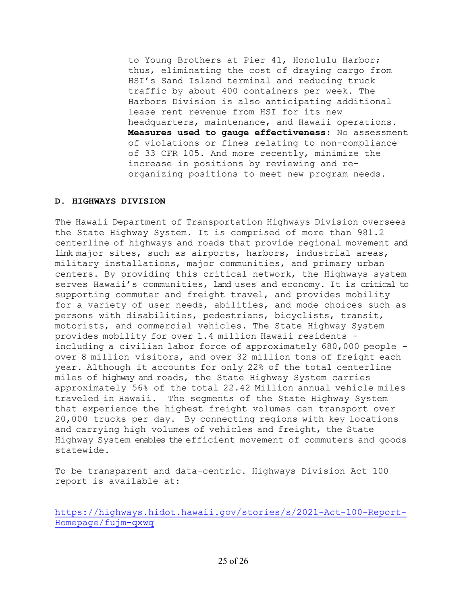to Young Brothers at Pier 41, Honolulu Harbor; thus, eliminating the cost of draying cargo from HSI's Sand Island terminal and reducing truck traffic by about 400 containers per week. The Harbors Division is also anticipating additional lease rent revenue from HSI for its new headquarters, maintenance, and Hawaii operations. **Measures used to gauge effectiveness:** No assessment of violations or fines relating to non-compliance of 33 CFR 105. And more recently, minimize the increase in positions by reviewing and reorganizing positions to meet new program needs.

## **D. HIGHWAYS DIVISION**

The Hawaii Department of Transportation Highways Division oversees the State Highway System. It is comprised of more than 981.2 centerline of highways and roads that provide regional movement and link major sites, such as airports, harbors, industrial areas, military installations, major communities, and primary urban centers. By providing this critical network, the Highways system serves Hawaii's communities, land uses and economy. It is critical to supporting commuter and freight travel, and provides mobility for a variety of user needs, abilities, and mode choices such as persons with disabilities, pedestrians, bicyclists, transit, motorists, and commercial vehicles. The State Highway System provides mobility for over 1.4 million Hawaii residents including a civilian labor force of approximately 680,000 people over 8 million visitors, and over 32 million tons of freight each year. Although it accounts for only 22% of the total centerline miles of highway and roads, the State Highway System carries approximately 56% of the total 22.42 Million annual vehicle miles traveled in Hawaii. The segments of the State Highway System that experience the highest freight volumes can transport over 20,000 trucks per day. By connecting regions with key locations and carrying high volumes of vehicles and freight, the State Highway System enables the efficient movement of commuters and goods statewide.

To be transparent and data-centric. Highways Division Act 100 report is available at:

https://highways.hidot.hawaii.gov/stories/s/2021-Act-100-Report-Homepage/fujm-qxwq